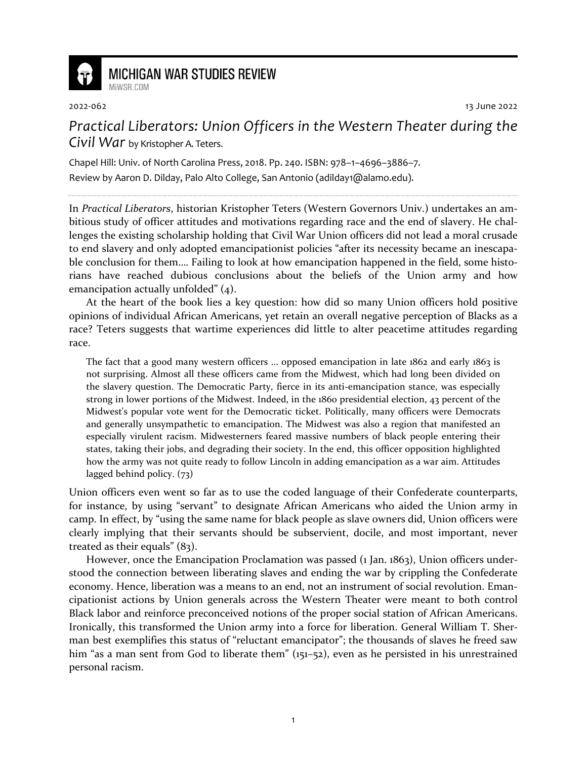

## **MICHIGAN WAR STUDIES REVIEW**

MiWSR COM

2022-062 13 June 2022

## *Practical Liberators: Union Officers in the Western Theater during the Civil War* by Kristopher A. Teters.

Chapel Hill: Univ. of North Carolina Press, 2018. Pp. 240. ISBN: 978–1–4696–3886–7. Review by Aaron D. Dilday, Palo Alto College, San Antonio (adilday1@alamo.edu).

In *Practical Liberators*, historian Kristopher Teters (Western Governors Univ.) undertakes an ambitious study of officer attitudes and motivations regarding race and the end of slavery. He challenges the existing scholarship holding that Civil War Union officers did not lead a moral crusade to end slavery and only adopted emancipationist policies "after its necessity became an inescapable conclusion for them…. Failing to look at how emancipation happened in the field, some historians have reached dubious conclusions about the beliefs of the Union army and how emancipation actually unfolded" (4).

At the heart of the book lies a key question: how did so many Union officers hold positive opinions of individual African Americans, yet retain an overall negative perception of Blacks as a race? Teters suggests that wartime experiences did little to alter peacetime attitudes regarding race.

The fact that a good many western officers ... opposed emancipation in late 1862 and early 1863 is not surprising. Almost all these officers came from the Midwest, which had long been divided on the slavery question. The Democratic Party, fierce in its anti-emancipation stance, was especially strong in lower portions of the Midwest. Indeed, in the 1860 presidential election, 43 percent of the Midwest's popular vote went for the Democratic ticket. Politically, many officers were Democrats and generally unsympathetic to emancipation. The Midwest was also a region that manifested an especially virulent racism. Midwesterners feared massive numbers of black people entering their states, taking their jobs, and degrading their society. In the end, this officer opposition highlighted how the army was not quite ready to follow Lincoln in adding emancipation as a war aim. Attitudes lagged behind policy. (73)

Union officers even went so far as to use the coded language of their Confederate counterparts, for instance, by using "servant" to designate African Americans who aided the Union army in camp. In effect, by "using the same name for black people as slave owners did, Union officers were clearly implying that their servants should be subservient, docile, and most important, never treated as their equals" (83).

However, once the Emancipation Proclamation was passed (1 Jan. 1863), Union officers understood the connection between liberating slaves and ending the war by crippling the Confederate economy. Hence, liberation was a means to an end, not an instrument of social revolution. Emancipationist actions by Union generals across the Western Theater were meant to both control Black labor and reinforce preconceived notions of the proper social station of African Americans. Ironically, this transformed the Union army into a force for liberation. General William T. Sherman best exemplifies this status of "reluctant emancipator"; the thousands of slaves he freed saw him "as a man sent from God to liberate them" (151-52), even as he persisted in his unrestrained personal racism.